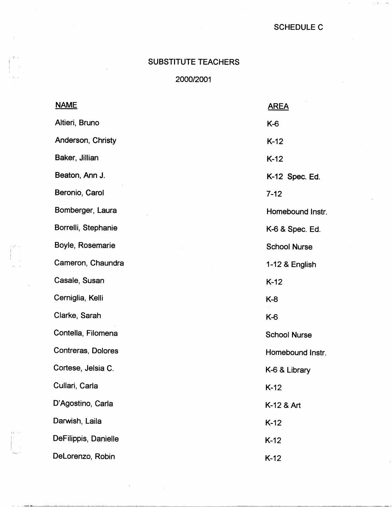## SCHEDULE C

## SUBSTITUTE TEACHERS

' *'T* II

·I LI

2000/2001

|                                           | <b>NAME</b>          | <b>AREA</b>         |
|-------------------------------------------|----------------------|---------------------|
|                                           | Altieri, Bruno       | K-6                 |
|                                           | Anderson, Christy    | $K-12$              |
|                                           | Baker, Jillian       | $K-12$              |
|                                           | Beaton, Ann J.       | K-12 Spec. Ed.      |
|                                           | Beronio, Carol       | $7 - 12$            |
|                                           | Bomberger, Laura     | Homebound Instr.    |
|                                           | Borrelli, Stephanie  | K-6 & Spec. Ed.     |
| i pri si                                  | Boyle, Rosemarie     | <b>School Nurse</b> |
| $\mathcal{O}_{\mathcal{A}} \rightarrow 0$ | Cameron, Chaundra    | 1-12 & English      |
|                                           | Casale, Susan        | $K-12$              |
|                                           | Cerniglia, Kelli     | $K-8$               |
|                                           | Clarke, Sarah        | K-6                 |
|                                           | Contella, Filomena   | <b>School Nurse</b> |
|                                           | Contreras, Dolores   | Homebound Instr.    |
|                                           | Cortese, Jelsia C.   | K-6 & Library       |
|                                           | Cullari, Carla       | $K-12$              |
|                                           | D'Agostino, Carla    | K-12 & Art          |
|                                           | Darwish, Laila       | $K-12$              |
| 内部                                        | DeFilippis, Danielle | $K-12$              |
|                                           | DeLorenzo, Robin     | $K-12$              |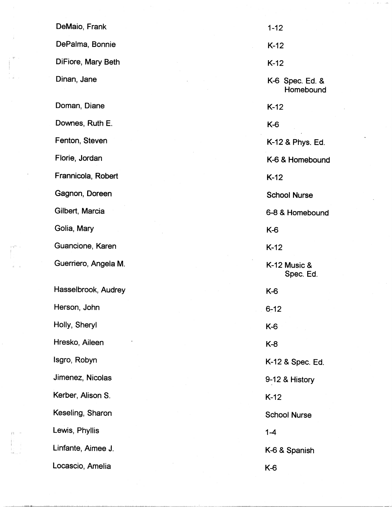|                      | DeMaio, Frank        | $1 - 12$  |
|----------------------|----------------------|-----------|
| $\ddot{\phantom{a}}$ | DePalma, Bonnie      | $K-12$    |
| m - н                | DiFiore, Mary Beth   | $K-12$    |
| $\Omega_{\rm{max}}$  | Dinan, Jane          | K-6 \     |
|                      | Doman, Diane         | $K-12$    |
|                      | Downes, Ruth E.      | K-6       |
|                      | Fenton, Steven       | $K-12$    |
|                      | Florie, Jordan       | K-6 &     |
|                      | Frannicola, Robert   | $K-12$    |
|                      | Gagnon, Doreen       | Scho      |
|                      | Gilbert, Marcia      | $6 - 8 &$ |
|                      | Golia, Mary          | K-6       |
| qm a                 | Guancione, Karen     | $K-12$    |
|                      | Guerriero, Angela M. | $K-12$    |
|                      | Hasselbrook, Audrey  | K-6       |
|                      | Herson, John         | $6 - 12$  |
|                      | Holly, Sheryl        | K-6       |
|                      | Hresko, Aileen       | K-8       |
|                      | Isgro, Robyn         | $K-12$    |
|                      | Jimenez, Nicolas     | $9 - 128$ |
|                      | Kerber, Alison S.    | $K-12$    |
|                      | Keseling, Sharon     | Schoo     |
| 四一旦                  | Lewis, Phyllis       | $1 - 4$   |
| $H_{\rm tot}$        | Linfante, Aimee J.   | K-6 &     |
|                      | Locascio, Amelia     | K-6       |

, er

1'1- !

Spec. Ed. & **Homebound** 2 & Phys. Ed. & Homebound ool Nurse & Homebound 2 Music & Spec. Ed. 2 & Spec. Ed. 2 & History ool Nurse & Spanish

 $\ddotsc$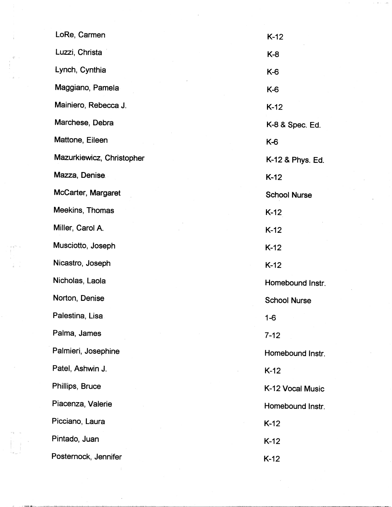|                                 | LoRe, Carmen              | $K-12$              |
|---------------------------------|---------------------------|---------------------|
| $\mathsf{T}^{\ast} \rightarrow$ | Luzzi, Christa            | $K-8$               |
|                                 | Lynch, Cynthia            | K-6                 |
|                                 | Maggiano, Pamela          | K-6                 |
|                                 | Mainiero, Rebecca J.      | $K-12$              |
|                                 | Marchese, Debra           | K-8 & Spec. Ed.     |
|                                 | Mattone, Eileen           | K-6                 |
|                                 | Mazurkiewicz, Christopher | K-12 & Phys. Ed.    |
|                                 | Mazza, Denise             | $K-12$              |
|                                 | McCarter, Margaret        | <b>School Nurse</b> |
|                                 | Meekins, Thomas           | $K-12$              |
|                                 | Miller, Carol A.          | $K-12$              |
| $\Gamma^{\rm{max}}=0$           | Musciotto, Joseph         | $K-12$              |
|                                 | Nicastro, Joseph          | $K-12$              |
|                                 | Nicholas, Laola           | Homebound Instr.    |
|                                 | Norton, Denise            | <b>School Nurse</b> |
|                                 | Palestina, Lisa           | $1 - 6$             |
|                                 | Palma, James              | $7 - 12$            |
|                                 | Palmieri, Josephine       | Homebound Instr.    |
|                                 | Patel, Ashwin J.          | $K-12$              |
|                                 | Phillips, Bruce           | K-12 Vocal Music    |
|                                 | Piacenza, Valerie         | Homebound Instr.    |
|                                 | Picciano, Laura           | $K-12$              |
|                                 | Pintado, Juan             | $K-12$              |
|                                 | Posternock, Jennifer      | $K-12$              |

 $\label{eq:2} \begin{aligned} \mathbf{a}_{\text{max}} & = \mathbf{a}_{\text{max}} \\ \mathbf{a}_{\text{max}} & = \mathbf{a}_{\text{max}} \end{aligned}$ 

''I 11

 $\begin{split} \mathcal{E} &= \mathbb{E} \left( \left\{ \frac{2\pi}{\pi} \right\} \right) \mathbb{E} \left( \left\{ \frac{2\pi}{\pi} \right\} \right) \mathbb{E} \left( \left\{ \frac{2\pi}{\pi} \right\} \right) \mathbb{E} \left( \left\{ \frac{2\pi}{\pi} \right\} \right) \mathbb{E} \left( \left\{ \frac{2\pi}{\pi} \right\} \right) \mathbb{E} \left( \left\{ \frac{2\pi}{\pi} \right\} \right) \mathbb{E} \left( \left\{ \frac{2\pi}{\pi} \right\} \$ 

 $\vert \cdot \vert$ 

 $\sim 3^{\circ}$ 

 $\frac{1}{2}$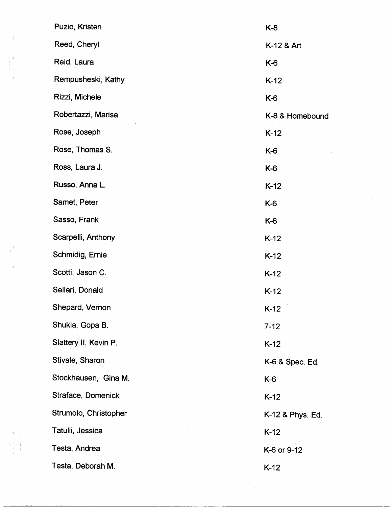| Puzio, Kristen        | K-8              |
|-----------------------|------------------|
| Reed, Cheryl          | K-12 & Art       |
| Reid, Laura           | K-6              |
| Rempusheski, Kathy    | $K-12$           |
| Rizzi, Michele        | K-6              |
| Robertazzi, Marisa    | K-8 & Homebound  |
| Rose, Joseph          | $K-12$           |
| Rose, Thomas S.       | K-6              |
| Ross, Laura J.        | K-6              |
| Russo, Anna L.        | $K-12$           |
| Samet, Peter          | K-6              |
| Sasso, Frank          | K-6              |
| Scarpelli, Anthony    | $K-12$           |
| Schmidig, Ernie       | $K-12$           |
| Scotti, Jason C.      | $K-12$           |
| Sellari, Donald       | $K-12$           |
| Shepard, Vernon       | $K-12$           |
| Shukla, Gopa B.       | $7 - 12$         |
| Slattery II, Kevin P. | $K-12$           |
| Stivale, Sharon       | K-6 & Spec. Ed.  |
| Stockhausen, Gina M.  | K-6              |
| Straface, Domenick    | $K-12$           |
| Strumolo, Christopher | K-12 & Phys. Ed. |
| Tatulli, Jessica      | $K-12$           |
| Testa, Andrea         | K-6 or 9-12      |
| Testa, Deborah M.     | $K-12$           |

المقدار الأربعي.<br>وفيا

 $\mathcal{A}^{(1)}$ 

 $\label{eq:2} \frac{1}{2} \int_{0}^{2\pi} \frac{1}{2} \, \mathrm{d} \xi \, \mathrm{d} \xi$ 

 $\mathcal{X}^{(n)}$ 

 $\frac{1}{2\Gamma} \left( \frac{1}{2} \right)$ 

 $\begin{aligned} \mathcal{L}(\mathbf{I}) &= \mathbf{0} \,, \\ \mathbf{I} &= \begin{bmatrix} \mathbf{I} & \mathbf{I} \\ \mathbf{I} & \mathbf{I} \\ \mathbf{I} & \mathbf{I} \end{bmatrix} \\ \mathbf{I} &= \begin{bmatrix} \mathbf{I} & \mathbf{I} \\ \mathbf{I} & \mathbf{I} \end{bmatrix} \,, \end{aligned}$